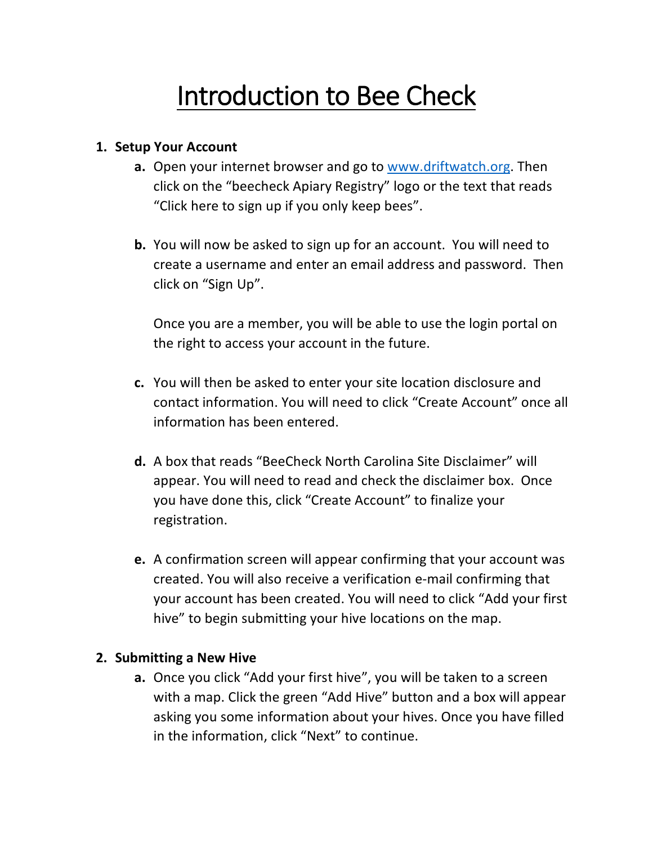## Introduction to Bee Check

## **1. Setup Your Account**

- **a.** Open your internet browser and go to www.driftwatch.org. Then click on the "beecheck Apiary Registry" logo or the text that reads "Click here to sign up if you only keep bees".
- **b.** You will now be asked to sign up for an account. You will need to create a username and enter an email address and password. Then click on "Sign Up".

Once you are a member, you will be able to use the login portal on the right to access your account in the future.

- **c.** You will then be asked to enter your site location disclosure and contact information. You will need to click "Create Account" once all information has been entered.
- **d.** A box that reads "BeeCheck North Carolina Site Disclaimer" will appear. You will need to read and check the disclaimer box. Once you have done this, click "Create Account" to finalize your registration.
- **e.** A confirmation screen will appear confirming that your account was created. You will also receive a verification e-mail confirming that your account has been created. You will need to click "Add your first hive" to begin submitting your hive locations on the map.

## **2. Submitting a New Hive**

**a.** Once you click "Add your first hive", you will be taken to a screen with a map. Click the green "Add Hive" button and a box will appear asking you some information about your hives. Once you have filled in the information, click "Next" to continue.